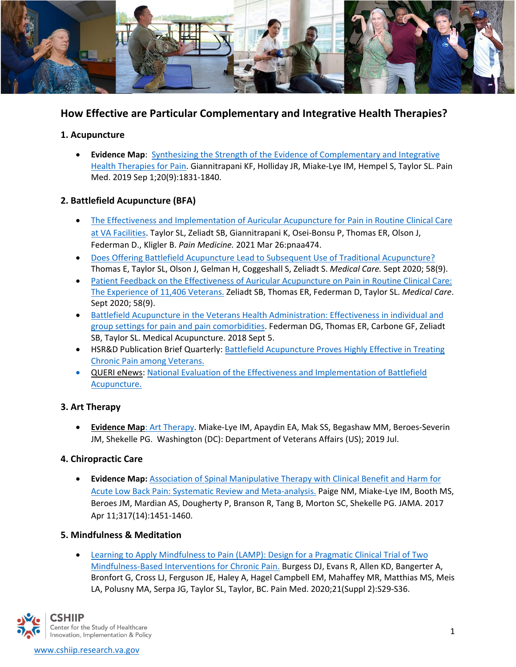

# **How Effective are Particular Complementary and Integrative Health Therapies?**

### **1. Acupuncture**

• **Evidence Map**: [Synthesizing the Strength of the Evidence of Complementary and Integrative](https://academic.oup.com/painmedicine/article/20/9/1831/5487508)  [Health Therapies for Pain.](https://academic.oup.com/painmedicine/article/20/9/1831/5487508) Giannitrapani KF, Holliday JR, Miake-Lye IM, Hempel S, Taylor SL. Pain Med. 2019 Sep 1;20(9):1831-1840.

## **2. Battlefield Acupuncture (BFA)**

- [The Effectiveness and Implementation of Auricular Acupuncture for Pain in Routine Clinical Care](https://pubmed.ncbi.nlm.nih.gov/33769534/)  [at VA Facilities.](https://pubmed.ncbi.nlm.nih.gov/33769534/) Taylor SL, Zeliadt SB, Giannitrapani K, Osei-Bonsu P, Thomas ER, Olson J, Federman D., Kligler B. *Pain Medicine.* 2021 Mar 26:pnaa474.
- [Does Offering Battlefield Acupuncture Lead to Subsequent Use of Traditional Acupuncture?](https://pubmed.ncbi.nlm.nih.gov/32826780/) Thomas E, Taylor SL, Olson J, Gelman H, Coggeshall S, Zeliadt S. *Medical Care.* Sept 2020; 58(9).
- [Patient Feedback on the Effectiveness of Auricular Acupuncture on Pain in Routine Clinical Care:](https://pubmed.ncbi.nlm.nih.gov/32826779/)  [The Experience of 11,406 Veterans.](https://pubmed.ncbi.nlm.nih.gov/32826779/) Zeliadt SB, Thomas ER, Federman D, Taylor SL. *Medical Care*. Sept 2020; 58(9).
- [Battlefield Acupuncture in the Veterans Health Administration: Effectiveness in individual and](https://www.ncbi.nlm.nih.gov/pmc/articles/PMC6205767/)  [group settings for pain and pain comorbidities.](https://www.ncbi.nlm.nih.gov/pmc/articles/PMC6205767/) Federman DG, Thomas ER, Carbone GF, Zeliadt SB, Taylor SL. Medical Acupuncture. 2018 Sept 5.
- HSR&D Publication Brief Quarterly: [Battlefield Acupuncture Proves Highly Effective in Treating](https://www.hsrd.research.va.gov/research/citations/pubbriefs/articles.cfm?RecordID=938)  [Chronic Pain among Veterans.](https://www.hsrd.research.va.gov/research/citations/pubbriefs/articles.cfm?RecordID=938)
- [QUERI eNews: National Evaluation of the Effectiveness and Implementation of Battlefield](https://www.queri.research.va.gov/qnews/mar19/default.cfm?QnewsMenu=article2)  [Acupuncture.](https://www.queri.research.va.gov/qnews/mar19/default.cfm?QnewsMenu=article2)

## **3. Art Therapy**

• **[Evidence Map](https://www.hsrd.research.va.gov/publications/esp/art-therapy.cfm)**: Art Therapy. Miake-Lye IM, Apaydin EA, Mak SS, Begashaw MM, Beroes-Severin JM, Shekelle PG. Washington (DC): Department of Veterans Affairs (US); 2019 Jul.

#### **4. Chiropractic Care**

• **Evidence Map:** [Association of Spinal Manipulative Therapy with Clinical Benefit and Harm for](https://www.ncbi.nlm.nih.gov/pmc/articles/PMC5470352/)  [Acute Low Back Pain: Systematic Review and Meta-analysis.](https://www.ncbi.nlm.nih.gov/pmc/articles/PMC5470352/) Paige NM, Miake-Lye IM, Booth MS, Beroes JM, Mardian AS, Dougherty P, Branson R, Tang B, Morton SC, Shekelle PG. JAMA. 2017 Apr 11;317(14):1451-1460.

#### **5. Mindfulness & Meditation**

• [Learning to Apply Mindfulness to Pain \(LAMP\): Design for a Pragmatic Clinical Trial of Two](https://www.ncbi.nlm.nih.gov/pmc/articles/PMC7734658/)  [Mindfulness-Based Interventions for Chronic Pain.](https://www.ncbi.nlm.nih.gov/pmc/articles/PMC7734658/) Burgess DJ, Evans R, Allen KD, Bangerter A, Bronfort G, Cross LJ, Ferguson JE, Haley A, Hagel Campbell EM, Mahaffey MR, Matthias MS, Meis LA, Polusny MA, Serpa JG, Taylor SL, Taylor, BC. Pain Med. 2020;21(Suppl 2):S29-S36.